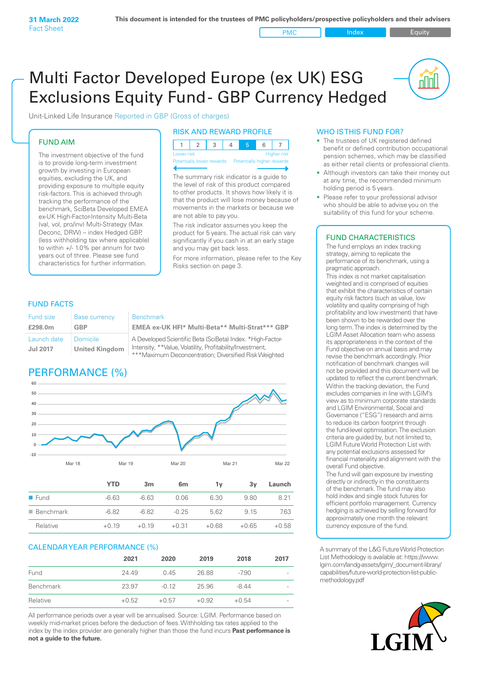PMC Index PMC Equity

<u>nu</u>

# Multi Factor Developed Europe (ex UK) ESG Exclusions Equity Fund - GBP Currency Hedged

Unit-Linked Life Insurance Reported in GBP (Gross of charges)

## FUND AIM

The investment objective of the fund is to provide long-term investment growth by investing in European equities, excluding the UK, and providing exposure to multiple equity risk-factors. This is achieved through tracking the performance of the benchmark, SciBeta Developed EMEA ex-UK High-Factor-Intensity Multi-Beta (val, vol, pro/inv) Multi-Strategy (Max Deconc, DRW) – index Hedged GBP, (less withholding tax where applicable) to within +/- 1.0% per annum for two years out of three. Please see fund characteristics for further information.

## RISK AND REWARD PROFILE

| Lower risk |  |  | <b>Higher risk</b> |
|------------|--|--|--------------------|

ntially lower rewards Potentially higher rev

The summary risk indicator is a guide to the level of risk of this product compared to other products. It shows how likely it is that the product will lose money because of movements in the markets or because we are not able to pay you.

The risk indicator assumes you keep the product for 5 years. The actual risk can vary significantly if you cash in at an early stage and you may get back less.

For more information, please refer to the Key Risks section on page 3.

## FUND FACTS

| Fund size                      | Base currency                     | <b>Benchmark</b>                                                                                                        |
|--------------------------------|-----------------------------------|-------------------------------------------------------------------------------------------------------------------------|
| £298.0m                        | GBP                               | EMEA ex-UK HFI* Multi-Beta** Multi-Strat*** GBP                                                                         |
| Launch date<br><b>Jul 2017</b> | Domicile<br><b>United Kingdom</b> | A Developed Scientific Beta (SciBeta) Index. *High-Factor-<br>Intensity, **Value, Volatility, Profitability/Investment, |

Scientific Beta (SciBeta) Index. \*High-Factoralue, Volatility, Profitability/Investment, \*\*\*Maximum Deconcentration; Diversified Risk Weighted

# PERFORMANCE (%)



| $\blacksquare$ Fund      | $-6.63$ | $-6.63$ | 0.06    | 6.30    | 9.80    | 8 21    |
|--------------------------|---------|---------|---------|---------|---------|---------|
| $\blacksquare$ Benchmark | -6.82   | -6.82   | $-0.25$ | 5.62    | 9 15    | 7.63    |
| Relative                 | $+0.19$ | $+0.19$ | $+0.31$ | $+0.68$ | $+0.65$ | $+0.58$ |
|                          |         |         |         |         |         |         |

## CALENDAR YEAR PERFORMANCE (%)

|           | 2021    | 2020    | 2019    | 2018    | 2017                     |
|-----------|---------|---------|---------|---------|--------------------------|
| Fund      | 24.49   | 0.45    | 26.88   | $-790$  | $\overline{\phantom{a}}$ |
| Benchmark | 23.97   | $-0.12$ | 25.96   | $-844$  | $\overline{\phantom{a}}$ |
| Relative  | $+0.52$ | $+0.57$ | $+0.92$ | $+0.54$ | $\overline{\phantom{a}}$ |

All performance periods over a year will be annualised. Source: LGIM. Performance based on weekly mid-market prices before the deduction of fees. Withholding tax rates applied to the index by the index provider are generally higher than those the fund incurs **Past performance is not a guide to the future.**

## WHO IS THIS FUND FOR?

- The trustees of UK registered defined benefit or defined contribution occupational pension schemes, which may be classified as either retail clients or professional clients.
- Although investors can take their money out at any time, the recommended minimum holding period is 5 years.
- Please refer to your professional advisor who should be able to advise you on the suitability of this fund for your scheme.

## FUND CHARACTERISTICS

The fund employs an index tracking strategy, aiming to replicate the performance of its benchmark, using a pragmatic approach.

This index is not market capitalisation weighted and is comprised of equities that exhibit the characteristics of certain equity risk factors (such as value, low volatility and quality comprising of high profitability and low investment) that have been shown to be rewarded over the long term. The index is determined by the LGIM Asset Allocation team who assess its appropriateness in the context of the Fund objective on annual basis and may revise the benchmark accordingly. Prior notification of benchmark changes will not be provided and this document will be updated to reflect the current benchmark. Within the tracking deviation, the Fund excludes companies in line with LGIM's view as to minimum corporate standards and LGIM Environmental, Social and Governance ("ESG") research and aims to reduce its carbon footprint through the fund-level optimisation. The exclusion criteria are guided by, but not limited to, LGIM Future World Protection List with any potential exclusions assessed for financial materiality and alignment with the overall Fund objective.

The fund will gain exposure by investing directly or indirectly in the constituents of the benchmark. The fund may also hold index and single stock futures for efficient portfolio management. Currency hedging is achieved by selling forward for approximately one month the relevant currency exposure of the fund.

A summary of the L&G Future World Protection List Methodology is available at: https://www. lgim.com/landg-assets/lgim/\_document-library/ capabilities/future-world-protection-list-publicmethodology.pdf

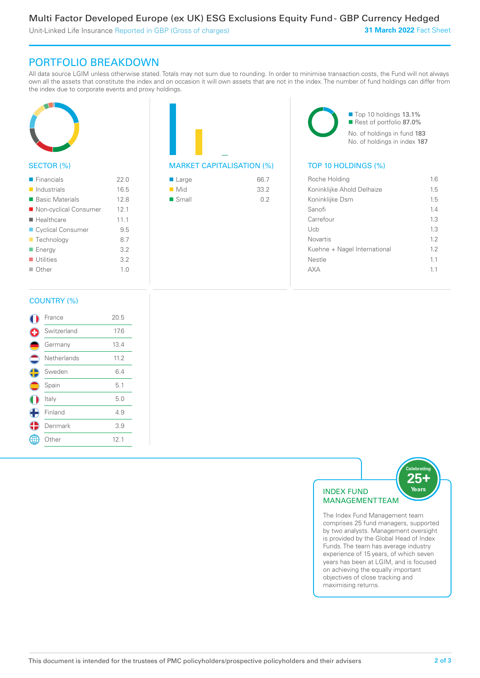Unit-Linked Life Insurance Reported in GBP (Gross of charges)

# PORTFOLIO BREAKDOWN

All data source LGIM unless otherwise stated. Totals may not sum due to rounding. In order to minimise transaction costs, the Fund will not always own all the assets that constitute the index and on occasion it will own assets that are not in the index. The number of fund holdings can differ from the index due to corporate events and proxy holdings.



## SECTOR (%)

| $\blacksquare$ Financials  | 22.0 |
|----------------------------|------|
| $\blacksquare$ Industrials | 16.5 |
| ■ Basic Materials          | 12.8 |
| ■ Non-cyclical Consumer    | 12.1 |
| ■ Healthcare               | 11.1 |
| Cyclical Consumer          | 9.5  |
| ■ Technology               | 8.7  |
| ■ Energy                   | 3.2  |
| $\blacksquare$ Utilities   | 3.2  |
| $\blacksquare$ Other       | 1.0  |
|                            |      |

|  | <b>MARKET CAPITALISATION (</b> |
|--|--------------------------------|

| Large                | 66.7 |
|----------------------|------|
| $\blacksquare$ Mid   | 33.2 |
| $\blacksquare$ Small | 0.2  |
|                      |      |

■ Top 10 holdings 13.1% ■ Rest of portfolio 87.0% No. of holdings in fund 183 No. of holdings in index 187

## $\mathcal{W}_0$  TOP 10 HOLDINGS  $\mathcal{W}_1$

| Roche Holding                | 16  |
|------------------------------|-----|
| Koninklijke Ahold Delhaize   | 1.5 |
| Koninklijke Dsm              | 15  |
| Sanofi                       | 14  |
| Carrefour                    | 1.3 |
| Uch                          | 13  |
| <b>Novartis</b>              | 12  |
| Kuehne + Nagel International | 12  |
| Nestle                       | 11  |
|                              | 11  |
|                              |     |

## COUNTRY (%)

|            | France      | 20.5 |  |
|------------|-------------|------|--|
|            | Switzerland | 17.6 |  |
|            | Germany     | 13.4 |  |
|            | Netherlands | 11.2 |  |
| $\bigodot$ | Sweden      | 6.4  |  |
|            | Spain       | 5.1  |  |
|            | Italy       | 5.0  |  |
| Œ          | Finland     | 4.9  |  |
|            | Denmark     | 3.9  |  |
|            | Other       | 12.1 |  |
|            |             |      |  |



The Index Fund Management team comprises 25 fund managers, supported by two analysts. Management oversight is provided by the Global Head of Index Funds. The team has average industry experience of 15 years, of which seven years has been at LGIM, and is focused on achieving the equally important objectives of close tracking and maximising returns.